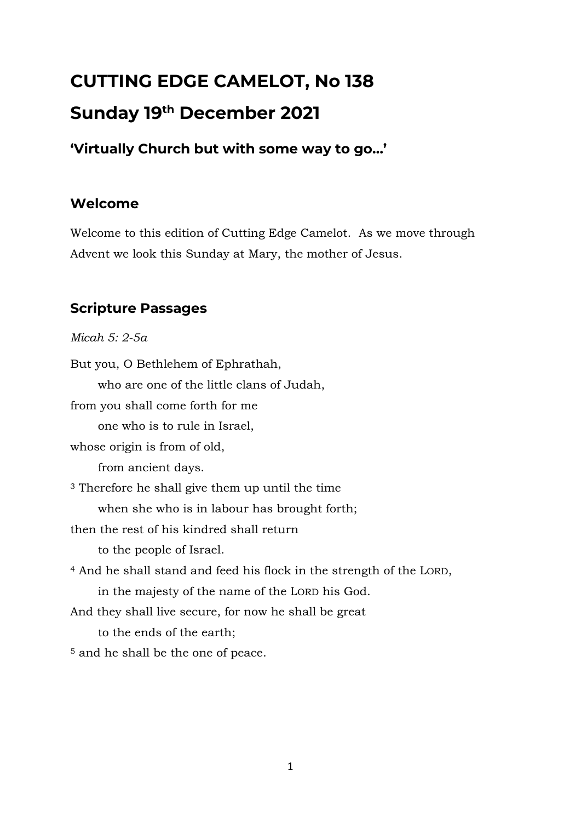# **CUTTING EDGE CAMELOT, No 138 Sunday 19 th December 2021**

**'Virtually Church but with some way to go…'**

#### **Welcome**

Welcome to this edition of Cutting Edge Camelot. As we move through Advent we look this Sunday at Mary, the mother of Jesus.

### **Scripture Passages**

*Micah 5: 2-5a*

But you, O Bethlehem of Ephrathah, who are one of the little clans of Judah, from you shall come forth for me one who is to rule in Israel, whose origin is from of old, from ancient days. <sup>3</sup> Therefore he shall give them up until the time when she who is in labour has brought forth; then the rest of his kindred shall return to the people of Israel. <sup>4</sup> And he shall stand and feed his flock in the strength of the LORD, in the majesty of the name of the LORD his God. And they shall live secure, for now he shall be great to the ends of the earth; <sup>5</sup> and he shall be the one of peace.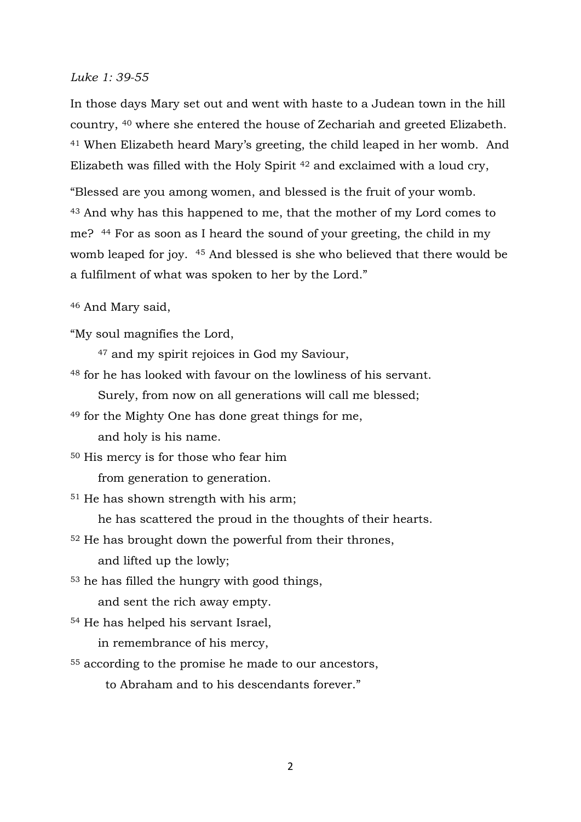#### *Luke 1: 39-55*

In those days Mary set out and went with haste to a Judean town in the hill country, <sup>40</sup> where she entered the house of Zechariah and greeted Elizabeth. <sup>41</sup> When Elizabeth heard Mary's greeting, the child leaped in her womb. And Elizabeth was filled with the Holy Spirit <sup>42</sup> and exclaimed with a loud cry,

"Blessed are you among women, and blessed is the fruit of your womb. <sup>43</sup> And why has this happened to me, that the mother of my Lord comes to me? <sup>44</sup> For as soon as I heard the sound of your greeting, the child in my womb leaped for joy. <sup>45</sup> And blessed is she who believed that there would be a fulfilment of what was spoken to her by the Lord."

<sup>46</sup> And Mary said,

"My soul magnifies the Lord,

<sup>47</sup> and my spirit rejoices in God my Saviour,

<sup>48</sup> for he has looked with favour on the lowliness of his servant.

Surely, from now on all generations will call me blessed;

<sup>49</sup> for the Mighty One has done great things for me,

and holy is his name.

<sup>50</sup> His mercy is for those who fear him

from generation to generation.

<sup>51</sup> He has shown strength with his arm;

he has scattered the proud in the thoughts of their hearts.

<sup>52</sup> He has brought down the powerful from their thrones, and lifted up the lowly;

<sup>53</sup> he has filled the hungry with good things,

and sent the rich away empty.

<sup>54</sup> He has helped his servant Israel,

in remembrance of his mercy,

<sup>55</sup> according to the promise he made to our ancestors,

to Abraham and to his descendants forever."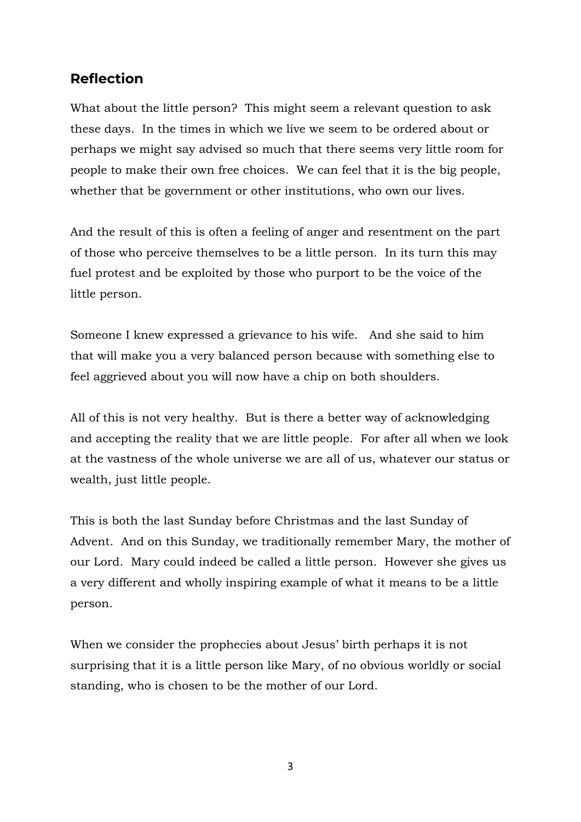#### **Reflection**

What about the little person? This might seem a relevant question to ask these days. In the times in which we live we seem to be ordered about or perhaps we might say advised so much that there seems very little room for people to make their own free choices. We can feel that it is the big people, whether that be government or other institutions, who own our lives.

And the result of this is often a feeling of anger and resentment on the part of those who perceive themselves to be a little person. In its turn this may fuel protest and be exploited by those who purport to be the voice of the little person.

Someone I knew expressed a grievance to his wife. And she said to him that will make you a very balanced person because with something else to feel aggrieved about you will now have a chip on both shoulders.

All of this is not very healthy. But is there a better way of acknowledging and accepting the reality that we are little people. For after all when we look at the vastness of the whole universe we are all of us, whatever our status or wealth, just little people.

This is both the last Sunday before Christmas and the last Sunday of Advent. And on this Sunday, we traditionally remember Mary, the mother of our Lord. Mary could indeed be called a little person. However she gives us a very different and wholly inspiring example of what it means to be a little person.

When we consider the prophecies about Jesus' birth perhaps it is not surprising that it is a little person like Mary, of no obvious worldly or social standing, who is chosen to be the mother of our Lord.

3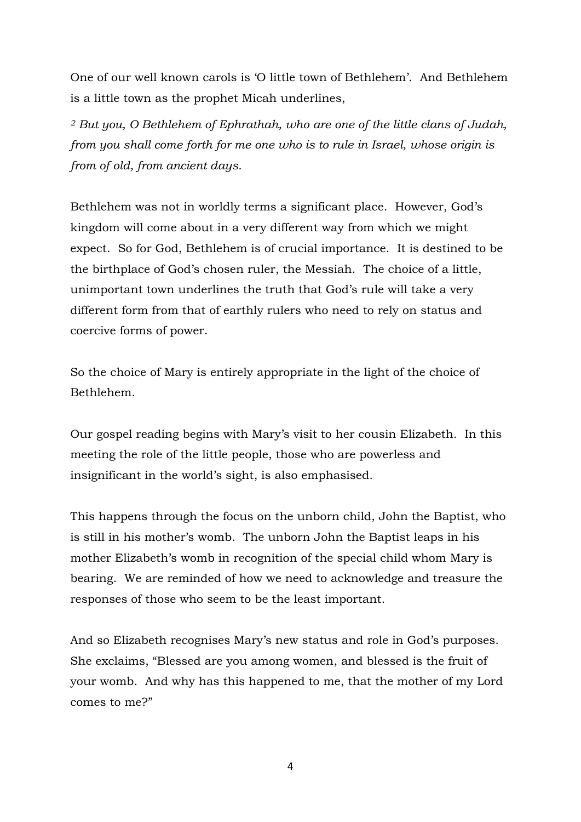One of our well known carols is 'O little town of Bethlehem'. And Bethlehem is a little town as the prophet Micah underlines,

*<sup>2</sup> But you, O Bethlehem of Ephrathah, who are one of the little clans of Judah, from you shall come forth for me one who is to rule in Israel, whose origin is from of old, from ancient days.*

Bethlehem was not in worldly terms a significant place. However, God's kingdom will come about in a very different way from which we might expect. So for God, Bethlehem is of crucial importance. It is destined to be the birthplace of God's chosen ruler, the Messiah. The choice of a little, unimportant town underlines the truth that God's rule will take a very different form from that of earthly rulers who need to rely on status and coercive forms of power.

So the choice of Mary is entirely appropriate in the light of the choice of Bethlehem.

Our gospel reading begins with Mary's visit to her cousin Elizabeth. In this meeting the role of the little people, those who are powerless and insignificant in the world's sight, is also emphasised.

This happens through the focus on the unborn child, John the Baptist, who is still in his mother's womb. The unborn John the Baptist leaps in his mother Elizabeth's womb in recognition of the special child whom Mary is bearing. We are reminded of how we need to acknowledge and treasure the responses of those who seem to be the least important.

And so Elizabeth recognises Mary's new status and role in God's purposes. She exclaims, "Blessed are you among women, and blessed is the fruit of your womb. And why has this happened to me, that the mother of my Lord comes to me?"

4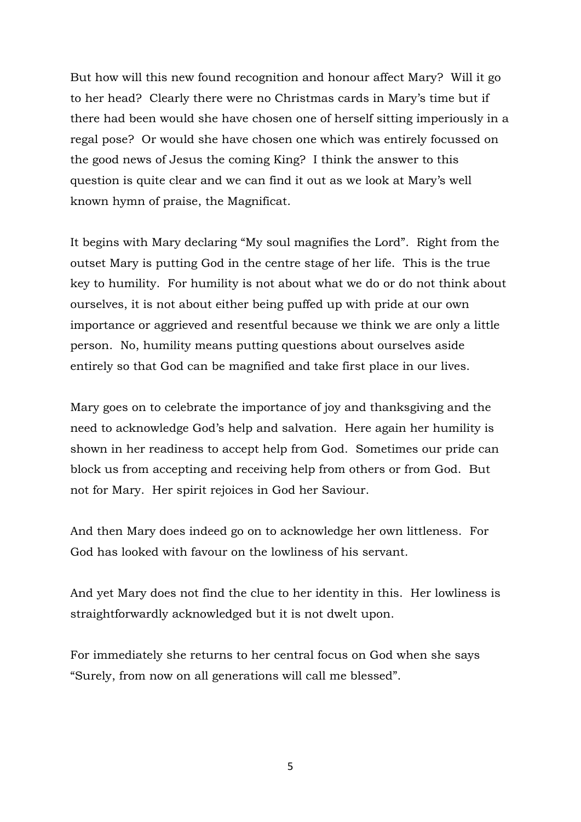But how will this new found recognition and honour affect Mary? Will it go to her head? Clearly there were no Christmas cards in Mary's time but if there had been would she have chosen one of herself sitting imperiously in a regal pose? Or would she have chosen one which was entirely focussed on the good news of Jesus the coming King? I think the answer to this question is quite clear and we can find it out as we look at Mary's well known hymn of praise, the Magnificat.

It begins with Mary declaring "My soul magnifies the Lord". Right from the outset Mary is putting God in the centre stage of her life. This is the true key to humility. For humility is not about what we do or do not think about ourselves, it is not about either being puffed up with pride at our own importance or aggrieved and resentful because we think we are only a little person. No, humility means putting questions about ourselves aside entirely so that God can be magnified and take first place in our lives.

Mary goes on to celebrate the importance of joy and thanksgiving and the need to acknowledge God's help and salvation. Here again her humility is shown in her readiness to accept help from God. Sometimes our pride can block us from accepting and receiving help from others or from God. But not for Mary. Her spirit rejoices in God her Saviour.

And then Mary does indeed go on to acknowledge her own littleness. For God has looked with favour on the lowliness of his servant.

And yet Mary does not find the clue to her identity in this. Her lowliness is straightforwardly acknowledged but it is not dwelt upon.

For immediately she returns to her central focus on God when she says "Surely, from now on all generations will call me blessed".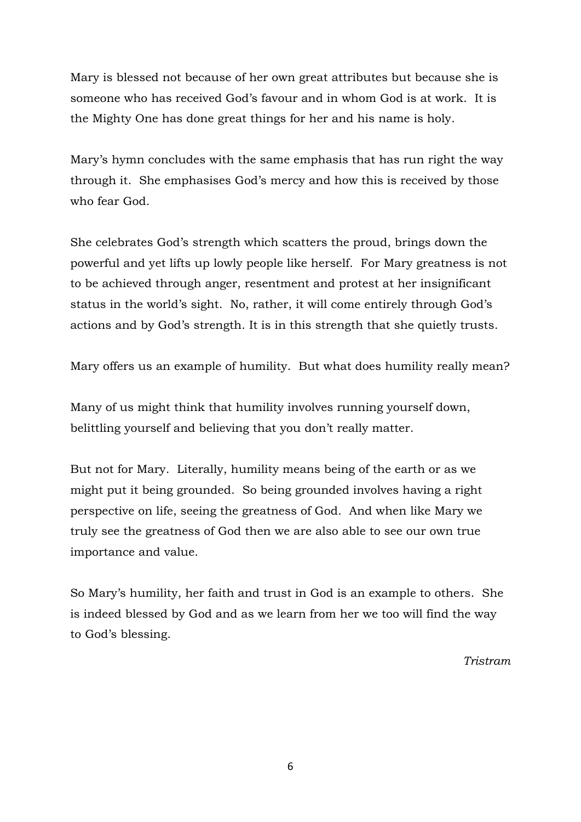Mary is blessed not because of her own great attributes but because she is someone who has received God's favour and in whom God is at work. It is the Mighty One has done great things for her and his name is holy.

Mary's hymn concludes with the same emphasis that has run right the way through it. She emphasises God's mercy and how this is received by those who fear God.

She celebrates God's strength which scatters the proud, brings down the powerful and yet lifts up lowly people like herself. For Mary greatness is not to be achieved through anger, resentment and protest at her insignificant status in the world's sight. No, rather, it will come entirely through God's actions and by God's strength. It is in this strength that she quietly trusts.

Mary offers us an example of humility. But what does humility really mean?

Many of us might think that humility involves running yourself down, belittling yourself and believing that you don't really matter.

But not for Mary. Literally, humility means being of the earth or as we might put it being grounded. So being grounded involves having a right perspective on life, seeing the greatness of God. And when like Mary we truly see the greatness of God then we are also able to see our own true importance and value.

So Mary's humility, her faith and trust in God is an example to others. She is indeed blessed by God and as we learn from her we too will find the way to God's blessing.

*Tristram*

6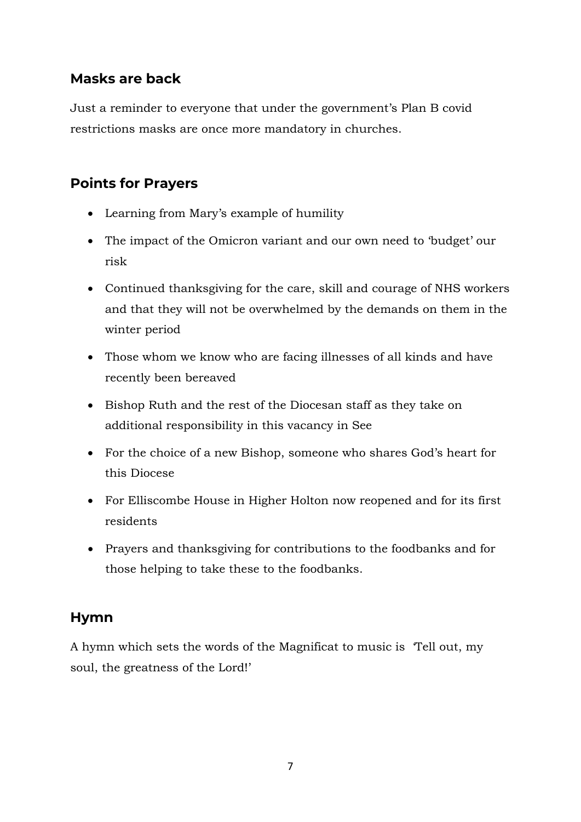#### **Masks are back**

Just a reminder to everyone that under the government's Plan B covid restrictions masks are once more mandatory in churches.

#### **Points for Prayers**

- Learning from Mary's example of humility
- The impact of the Omicron variant and our own need to 'budget' our risk
- Continued thanksgiving for the care, skill and courage of NHS workers and that they will not be overwhelmed by the demands on them in the winter period
- Those whom we know who are facing illnesses of all kinds and have recently been bereaved
- Bishop Ruth and the rest of the Diocesan staff as they take on additional responsibility in this vacancy in See
- For the choice of a new Bishop, someone who shares God's heart for this Diocese
- For Elliscombe House in Higher Holton now reopened and for its first residents
- Prayers and thanksgiving for contributions to the foodbanks and for those helping to take these to the foodbanks.

#### **Hymn**

A hymn which sets the words of the Magnificat to music is 'Tell out, my soul, the greatness of the Lord!'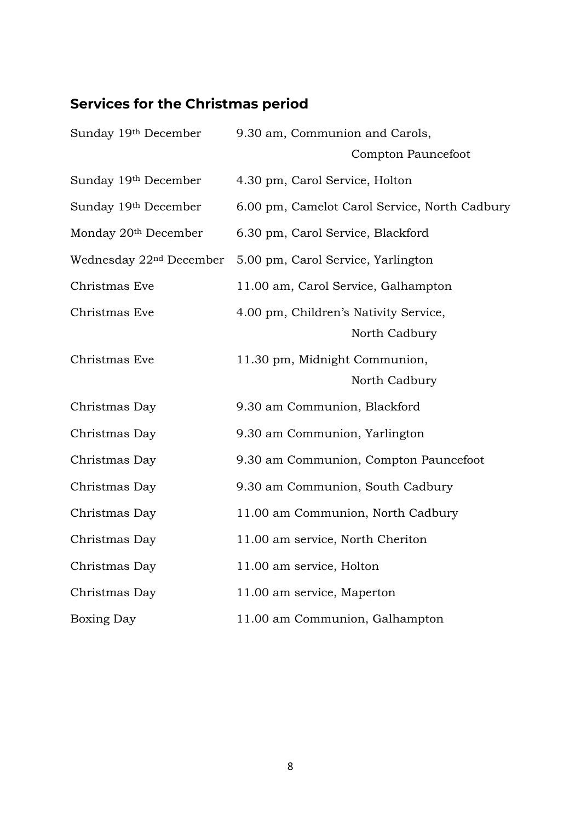## **Services for the Christmas period**

| Sunday 19th December                | 9.30 am, Communion and Carols,                |
|-------------------------------------|-----------------------------------------------|
|                                     | Compton Pauncefoot                            |
| Sunday 19th December                | 4.30 pm, Carol Service, Holton                |
| Sunday 19th December                | 6.00 pm, Camelot Carol Service, North Cadbury |
| Monday 20 <sup>th</sup> December    | 6.30 pm, Carol Service, Blackford             |
| Wednesday 22 <sup>nd</sup> December | 5.00 pm, Carol Service, Yarlington            |
| Christmas Eve                       | 11.00 am, Carol Service, Galhampton           |
| Christmas Eve                       | 4.00 pm, Children's Nativity Service,         |
|                                     | North Cadbury                                 |
| Christmas Eve                       | 11.30 pm, Midnight Communion,                 |
|                                     | North Cadbury                                 |
| Christmas Day                       | 9.30 am Communion, Blackford                  |
| Christmas Day                       | 9.30 am Communion, Yarlington                 |
| Christmas Day                       | 9.30 am Communion, Compton Pauncefoot         |
| Christmas Day                       | 9.30 am Communion, South Cadbury              |
| Christmas Day                       | 11.00 am Communion, North Cadbury             |
| Christmas Day                       | 11.00 am service, North Cheriton              |
| Christmas Day                       | 11.00 am service, Holton                      |
| Christmas Day                       | 11.00 am service, Maperton                    |
| <b>Boxing Day</b>                   | 11.00 am Communion, Galhampton                |